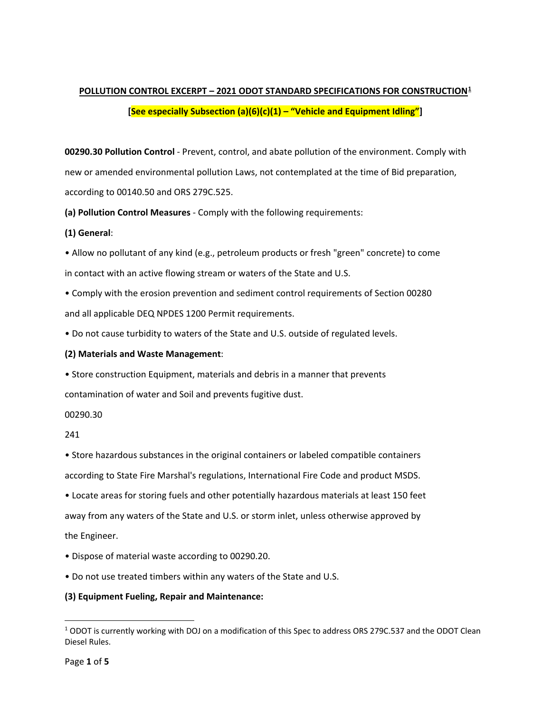# **POLLUTION CONTROL EXCERPT – 2021 ODOT STANDARD SPECIFICATIONS FOR CONSTRUCTION[1](#page-0-0) [See especially Subsection (a)(6)(c)(1) – "Vehicle and Equipment Idling"]**

**00290.30 Pollution Control** - Prevent, control, and abate pollution of the environment. Comply with new or amended environmental pollution Laws, not contemplated at the time of Bid preparation, according to 00140.50 and ORS 279C.525.

**(a) Pollution Control Measures** - Comply with the following requirements:

## **(1) General**:

• Allow no pollutant of any kind (e.g., petroleum products or fresh "green" concrete) to come in contact with an active flowing stream or waters of the State and U.S.

• Comply with the erosion prevention and sediment control requirements of Section 00280 and all applicable DEQ NPDES 1200 Permit requirements.

• Do not cause turbidity to waters of the State and U.S. outside of regulated levels.

## **(2) Materials and Waste Management**:

• Store construction Equipment, materials and debris in a manner that prevents contamination of water and Soil and prevents fugitive dust.

## 00290.30

## 241

• Store hazardous substances in the original containers or labeled compatible containers according to State Fire Marshal's regulations, International Fire Code and product MSDS.

• Locate areas for storing fuels and other potentially hazardous materials at least 150 feet away from any waters of the State and U.S. or storm inlet, unless otherwise approved by the Engineer.

- Dispose of material waste according to 00290.20.
- Do not use treated timbers within any waters of the State and U.S.

## **(3) Equipment Fueling, Repair and Maintenance:**

<span id="page-0-0"></span><sup>1</sup> ODOT is currently working with DOJ on a modification of this Spec to address ORS 279C.537 and the ODOT Clean Diesel Rules.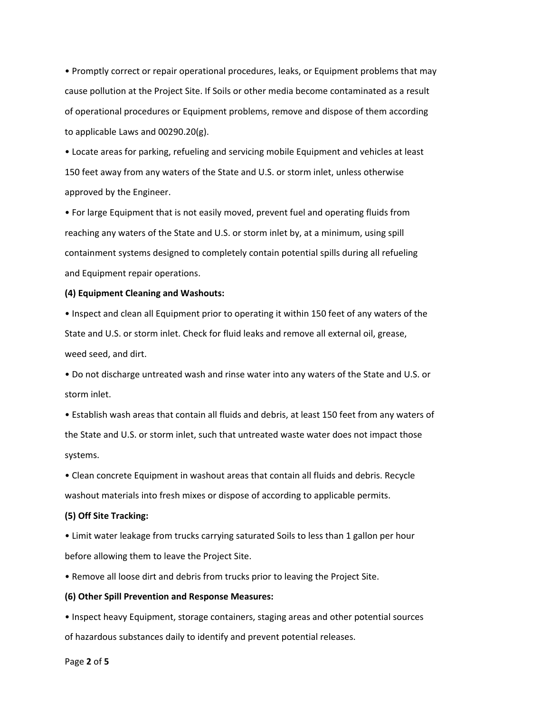• Promptly correct or repair operational procedures, leaks, or Equipment problems that may cause pollution at the Project Site. If Soils or other media become contaminated as a result of operational procedures or Equipment problems, remove and dispose of them according to applicable Laws and 00290.20(g).

• Locate areas for parking, refueling and servicing mobile Equipment and vehicles at least 150 feet away from any waters of the State and U.S. or storm inlet, unless otherwise approved by the Engineer.

• For large Equipment that is not easily moved, prevent fuel and operating fluids from reaching any waters of the State and U.S. or storm inlet by, at a minimum, using spill containment systems designed to completely contain potential spills during all refueling and Equipment repair operations.

#### **(4) Equipment Cleaning and Washouts:**

• Inspect and clean all Equipment prior to operating it within 150 feet of any waters of the State and U.S. or storm inlet. Check for fluid leaks and remove all external oil, grease, weed seed, and dirt.

• Do not discharge untreated wash and rinse water into any waters of the State and U.S. or storm inlet.

• Establish wash areas that contain all fluids and debris, at least 150 feet from any waters of the State and U.S. or storm inlet, such that untreated waste water does not impact those systems.

• Clean concrete Equipment in washout areas that contain all fluids and debris. Recycle washout materials into fresh mixes or dispose of according to applicable permits.

#### **(5) Off Site Tracking:**

• Limit water leakage from trucks carrying saturated Soils to less than 1 gallon per hour before allowing them to leave the Project Site.

• Remove all loose dirt and debris from trucks prior to leaving the Project Site.

#### **(6) Other Spill Prevention and Response Measures:**

• Inspect heavy Equipment, storage containers, staging areas and other potential sources of hazardous substances daily to identify and prevent potential releases.

#### Page **2** of **5**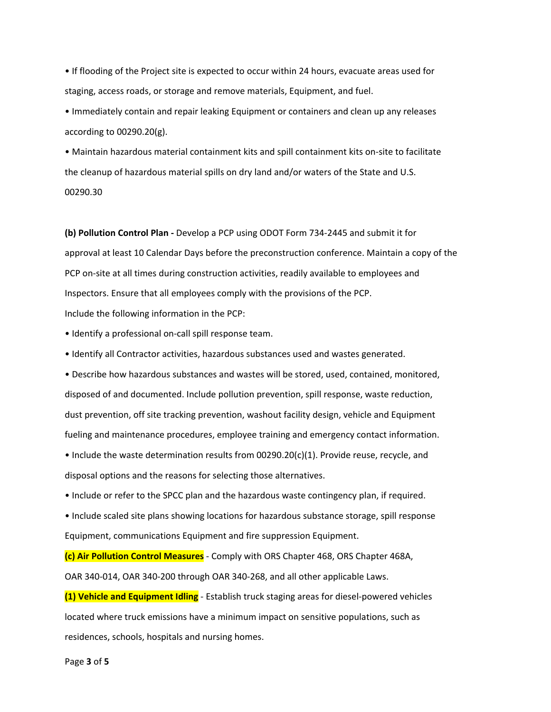• If flooding of the Project site is expected to occur within 24 hours, evacuate areas used for staging, access roads, or storage and remove materials, Equipment, and fuel.

• Immediately contain and repair leaking Equipment or containers and clean up any releases according to 00290.20(g).

• Maintain hazardous material containment kits and spill containment kits on-site to facilitate the cleanup of hazardous material spills on dry land and/or waters of the State and U.S. 00290.30

**(b) Pollution Control Plan -** Develop a PCP using ODOT Form 734-2445 and submit it for approval at least 10 Calendar Days before the preconstruction conference. Maintain a copy of the PCP on-site at all times during construction activities, readily available to employees and Inspectors. Ensure that all employees comply with the provisions of the PCP. Include the following information in the PCP:

• Identify a professional on-call spill response team.

• Identify all Contractor activities, hazardous substances used and wastes generated.

• Describe how hazardous substances and wastes will be stored, used, contained, monitored, disposed of and documented. Include pollution prevention, spill response, waste reduction, dust prevention, off site tracking prevention, washout facility design, vehicle and Equipment fueling and maintenance procedures, employee training and emergency contact information.

• Include the waste determination results from 00290.20(c)(1). Provide reuse, recycle, and disposal options and the reasons for selecting those alternatives.

• Include or refer to the SPCC plan and the hazardous waste contingency plan, if required.

• Include scaled site plans showing locations for hazardous substance storage, spill response Equipment, communications Equipment and fire suppression Equipment.

**(c) Air Pollution Control Measures** - Comply with ORS Chapter 468, ORS Chapter 468A, OAR 340-014, OAR 340-200 through OAR 340-268, and all other applicable Laws.

**(1) Vehicle and Equipment Idling** - Establish truck staging areas for diesel-powered vehicles located where truck emissions have a minimum impact on sensitive populations, such as residences, schools, hospitals and nursing homes.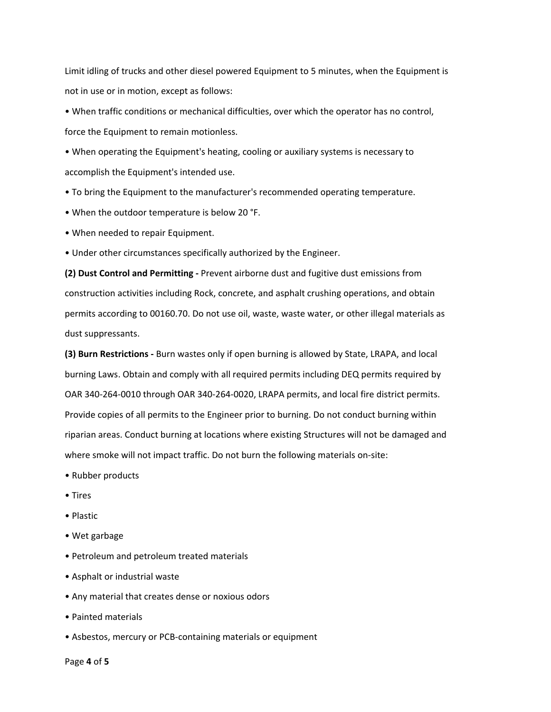Limit idling of trucks and other diesel powered Equipment to 5 minutes, when the Equipment is not in use or in motion, except as follows:

• When traffic conditions or mechanical difficulties, over which the operator has no control, force the Equipment to remain motionless.

• When operating the Equipment's heating, cooling or auxiliary systems is necessary to accomplish the Equipment's intended use.

- To bring the Equipment to the manufacturer's recommended operating temperature.
- When the outdoor temperature is below 20 °F.
- When needed to repair Equipment.
- Under other circumstances specifically authorized by the Engineer.

**(2) Dust Control and Permitting -** Prevent airborne dust and fugitive dust emissions from construction activities including Rock, concrete, and asphalt crushing operations, and obtain permits according to 00160.70. Do not use oil, waste, waste water, or other illegal materials as dust suppressants.

**(3) Burn Restrictions -** Burn wastes only if open burning is allowed by State, LRAPA, and local burning Laws. Obtain and comply with all required permits including DEQ permits required by OAR 340-264-0010 through OAR 340-264-0020, LRAPA permits, and local fire district permits. Provide copies of all permits to the Engineer prior to burning. Do not conduct burning within riparian areas. Conduct burning at locations where existing Structures will not be damaged and where smoke will not impact traffic. Do not burn the following materials on-site:

- Rubber products
- Tires
- Plastic
- Wet garbage
- Petroleum and petroleum treated materials
- Asphalt or industrial waste
- Any material that creates dense or noxious odors
- Painted materials
- Asbestos, mercury or PCB-containing materials or equipment

Page **4** of **5**